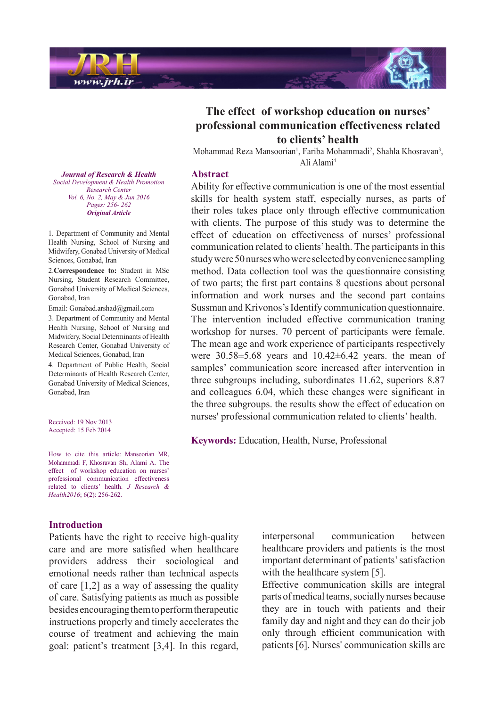

# The effect of workshop education on nurses' **professional communication effectiveness related** to clients' health

Mohammad Reza Mansoorian<sup>1</sup>, Fariba Mohammadi<sup>2</sup>, Shahla Khosravan<sup>3</sup>, Ali Alami<sup>4</sup>

#### **Abstract**

Ability for effective communication is one of the most essential skills for health system staff, especially nurses, as parts of their roles takes place only through effective communication with clients. The purpose of this study was to determine the effect of education on effectiveness of nurses' professional communication related to clients' health. The participants in this study were 50 nurses who were selected by convenience sampling method. Data collection tool was the questionnaire consisting of two parts; the first part contains 8 questions about personal information and work nurses and the second part contains Sussman and Krivonos's Identify communication questionnaire. The intervention included effective communication traning workshop for nurses. 70 percent of participants were female. The mean age and work experience of participants respectively were  $30.58\pm5.68$  years and  $10.42\pm6.42$  years the mean of samples' communication score increased after intervention in three subgroups including, subordinates  $11.62$ , superiors  $8.87$ and colleagues 6.04, which these changes were significant in the three subgroups, the results show the effect of education on nurses' professional communication related to clients' health.

**Keywords:** Education, Health, Nurse, Professional

*Journal of Research & Health Promotion Health & Development Social Center Research Vol. 6, No. 2, May & Jun 2016* Pages: 256- 262 *Article Original*

1. Department of Community and Mental Health Nursing, School of Nursing and Midwifery, Gonabad University of Medical Sciences, Gonabad, Iran

2. Correspondence to: Student in MSc Nursing, Student Research Committee, Gonabad University of Medical Sciences, Gonabad, Iran

Email: Gonabad.arshad@gmail.com

3. Department of Community and Mental Health Nursing, School of Nursing and Midwifery, Social Determinants of Health Research Center, Gonabad University of Medical Sciences, Gonabad, Iran

4. Department of Public Health, Social Determinants of Health Research Center, Gonabad University of Medical Sciences, Gonabad. Iran

Received: 19 Nov 2013 Accepted: 15 Feb 2014

How to cite this article: Mansoorian MR, Mohammadi F, Khosravan Sh, Alami A. The effect of workshop education on nurses' professional communication effectiveness related to clients' health. *J Research &* Health<sub>2016</sub>: 6(2): 256-262.

#### **Introduction**

Patients have the right to receive high-quality care and are more satisfied when healthcare providers address their sociological and emotional needs rather than technical aspects of care  $[1,2]$  as a way of assessing the quality of care. Satisfying patients as much as possible besides encouraging them to perform therapeutic instructions properly and timely accelerates the course of treatment and achieving the main goal: patient's treatment  $[3,4]$ . In this regard, interpersonal communication between healthcare providers and patients is the most important determinant of patients' satisfaction with the healthcare system  $[5]$ .

Effective communication skills are integral parts of medical teams, socially nurses because they are in touch with patients and their family day and night and they can do their job only through efficient communication with patients [6]. Nurses' communication skills are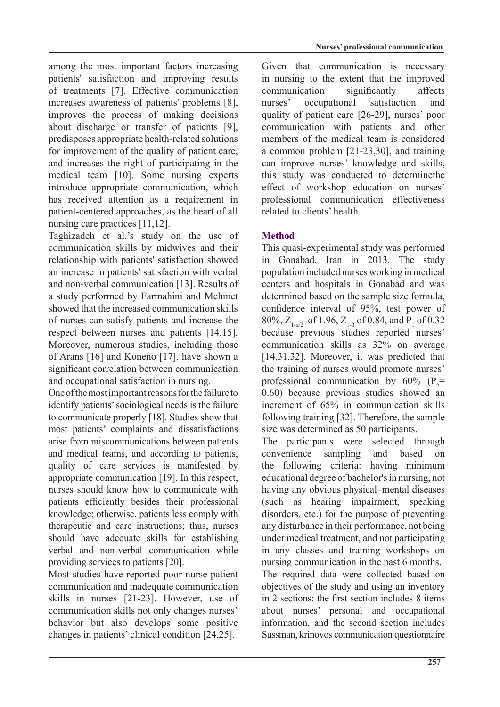among the most important factors increasing patients' satisfaction and improving results of treatments [7]. Effective communication increases awareness of patients' problems [8], improves the process of making decisions about discharge or transfer of patients [9]. predisposes appropriate health-related solutions for improvement of the quality of patient care, and increases the right of participating in the medical team [10]. Some nursing experts introduce appropriate communication, which has received attention as a requirement in patient-centered approaches, as the heart of all nursing care practices  $[11,12]$ .

Taghizadeh et al.'s study on the use of communication skills by midwives and their relationship with patients' satisfaction showed an increase in patients' satisfaction with verbal and non-verbal communication [13]. Results of a study performed by Farmahini and Mehmet showed that the increased communication skills of nurses can satisfy patients and increase the respect between nurses and patients  $[14, 15]$ . Moreover, numerous studies, including those of Arans  $[16]$  and Koneno  $[17]$ , have shown a significant correlation between communication and occupational satisfaction in nursing.

One of the most important reasons for the failure to identify patients' sociological needs is the failure to communicate properly  $[18]$ . Studies show that most patients' complaints and dissatisfactions arise from miscommunications between patients and medical teams, and according to patients, quality of care services is manifested by appropriate communication  $[19]$ . In this respect, nurses should know how to communicate with patients efficiently besides their professional knowledge; otherwise, patients less comply with therapeutic and care instructions; thus, nurses should have adequate skills for establishing verbal and non-verbal communication while providing services to patients [20].

Most studies have reported poor nurse-patient communication and inadequate communication skills in nurses  $[21-23]$ . However, use of communication skills not only changes nurses' behavior but also develops some positive changes in patients' clinical condition  $[24,25]$ .

Given that communication is necessary in nursing to the extent that the improved communication significantly affects nurses' occupational satisfaction and quality of patient care  $[26-29]$ , nurses' poor communication with patients and other members of the medical team is considered a common problem  $[21-23,30]$ , and training can improve nurses' knowledge and skills, this study was conducted to determinethe effect of workshop education on nurses' professional communication effectiveness related to clients' health.

**Nurses' professional communication** 

# **Method**

This quasi-experimental study was performed in Gonabad, Iran in 2013. The study population included nurses working in medical centers and hospitals in Gonabad and was determined based on the sample size formula. confidence interval of  $95%$ , test power of 80%,  $Z_{1-\alpha/2}$  of 1.96,  $Z_{1-\beta}$  of 0.84, and P<sub>1</sub> of 0.32 because previous studies reported nurses' communication skills as  $32\%$  on average [14,31,32]. Moreover, it was predicted that the training of nurses would promote nurses' professional communication by  $60\%$  (P<sub>2</sub>=  $(0.60)$  because previous studies showed an increment of 65% in communication skills following training  $[32]$ . Therefore, the sample size was determined as 50 participants.

The participants were selected through convenience sampling and based on the following criteria: having minimum educational degree of bachelor's in nursing, not having any obvious physical–mental diseases  $(such as hearing impairment. speaking)$ disorders, etc.) for the purpose of preventing any disturbance in their performance, not being under medical treatment, and not participating in any classes and training workshops on nursing communication in the past 6 months.

The required data were collected based on objectives of the study and using an inventory in 2 sections: the first section includes  $8$  items about nurses' personal and occupational information, and the second section includes Sussman, krinovos communication questionnaire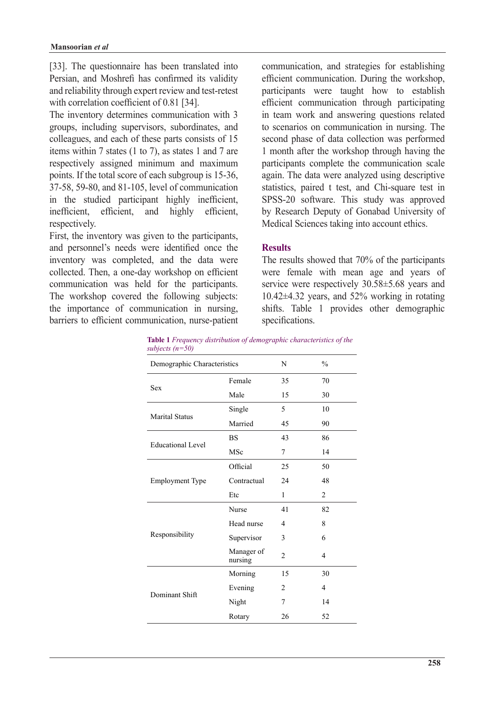[33]. The questionnaire has been translated into Persian, and Moshrefi has confirmed its validity and reliability through expert review and test-retest with correlation coefficient of  $0.81$  [34].

The inventory determines communication with 3 groups, including supervisors, subordinates, and colleagues, and each of these parts consists of 15 items within 7 states  $(1 \text{ to } 7)$ , as states 1 and 7 are respectively assigned minimum and maximum points. If the total score of each subgroup is 15-36, 37-58, 59-80, and 81-105, level of communication in the studied participant highly inefficient, inefficient, efficient, and highly efficient, respectively.

First, the inventory was given to the participants, and personnel's needs were identified once the inventory was completed, and the data were collected. Then, a one-day workshop on efficient communication was held for the participants. The workshop covered the following subjects: the importance of communication in nursing. barriers to efficient communication, nurse-patient communication, and strategies for establishing efficient communication. During the workshop, participants were taught how to establish efficient communication through participating in team work and answering questions related to scenarios on communication in nursing. The second phase of data collection was performed 1 month after the workshop through having the participants complete the communication scale again. The data were analyzed using descriptive statistics, paired t test, and Chi-square test in SPSS-20 software. This study was approved by Research Deputy of Gonabad University of Medical Sciences taking into account ethics.

# **Results**

The results showed that  $70\%$  of the participants were female with mean age and years of service were respectively  $30.58\pm5.68$  years and  $10.42\pm 4.32$  years, and  $52\%$  working in rotating shifts. Table 1 provides other demographic specifications.

**Table 1** Frequency distribution of demographic characteristics of the *subjects* (*n*=50)

| suvjecis $(n-y)$            |                       |                |                |
|-----------------------------|-----------------------|----------------|----------------|
| Demographic Characteristics |                       | N              | $\frac{0}{0}$  |
| <b>Sex</b>                  | Female                | 35             | 70             |
|                             | Male                  | 15             | 30             |
|                             | Single                | 5              | 10             |
| <b>Marital Status</b>       | Married               | 45             | 90             |
| <b>Educational Level</b>    | <b>BS</b>             | 43             | 86             |
|                             | MSc                   | 7              | 14             |
| <b>Employment Type</b>      | Official              | 25             | 50             |
|                             | Contractual           | 24             | 48             |
|                             | Etc                   | 1              | $\overline{c}$ |
|                             | Nurse                 | 41             | 82             |
|                             | Head nurse            | 4              | 8              |
| Responsibility              | Supervisor            | 3              | 6              |
|                             | Manager of<br>nursing | $\overline{c}$ | $\overline{4}$ |
|                             | Morning               | 15             | 30             |
| Dominant Shift              | Evening               | 2              | $\overline{4}$ |
|                             | Night                 | 7              | 14             |
|                             | Rotary                | 26             | 52             |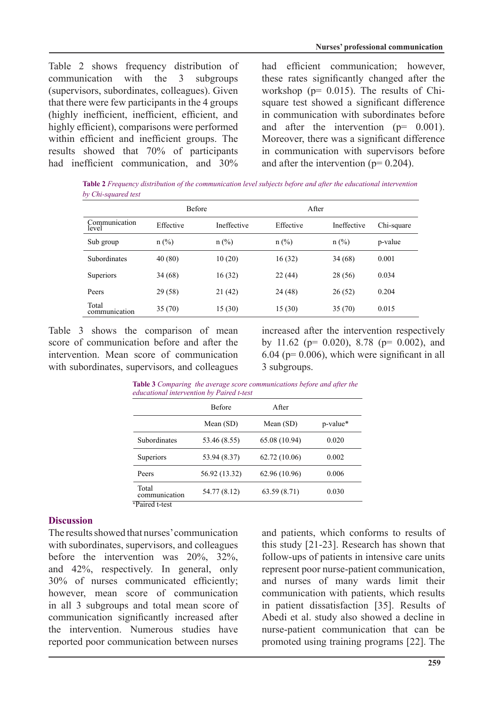Table 2 shows frequency distribution of  $communication$  with the  $3$  subgroups (supervisors, subordinates, colleagues). Given that there were few participants in the 4 groups (highly inefficient, inefficient, efficient, and highly efficient), comparisons were performed within efficient and inefficient groups. The results showed that  $70\%$  of participants had inefficient communication and  $30\%$ 

had efficient communication; however, these rates significantly changed after the square test showed a significant difference workshop ( $p = 0.015$ ). The results of Chiin communication with subordinates before and after the intervention  $(p = 0.001)$ . Moreover, there was a significant difference in communication with supervisors before and after the intervention  $(p= 0.204)$ .

*Table 2 Frequency distribution of the communication level subjects before and after the educational intervention by Chi-squared test* 

|                        | <b>Before</b> |             | After     |             |            |
|------------------------|---------------|-------------|-----------|-------------|------------|
| Communication<br>level | Effective     | Ineffective | Effective | Ineffective | Chi-square |
| Sub group              | $n$ (%)       | $n$ (%)     | $n$ (%)   | $n$ (%)     | p-value    |
| <b>Subordinates</b>    | 40(80)        | 10(20)      | 16(32)    | 34 (68)     | 0.001      |
| Superiors              | 34(68)        | 16 (32)     | 22(44)    | 28 (56)     | 0.034      |
| Peers                  | 29 (58)       | 21(42)      | 24 (48)   | 26(52)      | 0.204      |
| Total<br>communication | 35(70)        | 15(30)      | 15(30)    | 35(70)      | 0.015      |

Table 3 shows the comparison of mean score of communication before and after the intervention. Mean score of communication with subordinates, supervisors, and colleagues increased after the intervention respectively by 11.62 ( $p = 0.020$ ), 8.78 ( $p = 0.002$ ), and  $6.04$  (p= 0.006), which were significant in all 3 subgroups.

|                        | <b>Before</b> | After         |          |
|------------------------|---------------|---------------|----------|
|                        | Mean (SD)     | Mean $(SD)$   | p-value* |
| <b>Subordinates</b>    | 53.46 (8.55)  | 65.08 (10.94) | 0.020    |
| Superiors              | 53.94 (8.37)  | 62.72(10.06)  | 0.002    |
| Peers                  | 56.92 (13.32) | 62.96 (10.96) | 0.006    |
| Total<br>communication | 54.77 (8.12)  | 63.59(8.71)   | 0.030    |

**Table 3** Comparing the average score communications before and after the

## **Discussion**

The results showed that nurses' communication with subordinates, supervisors, and colleagues before the intervention was  $20\%$ ,  $32\%$ , and  $42\%$ , respectively. In general, only 30% of nurses communicated efficiently; however, mean score of communication in all 3 subgroups and total mean score of communication significantly increased after the intervention. Numerous studies have reported poor communication between nurses and patients, which conforms to results of this study  $[21-23]$ . Research has shown that follow-ups of patients in intensive care units represent poor nurse-patient communication, and nurses of many wards limit their communication with patients, which results in patient dissatisfaction [35]. Results of Abedi et al. study also showed a decline in nurse-patient communication that can be promoted using training programs [22]. The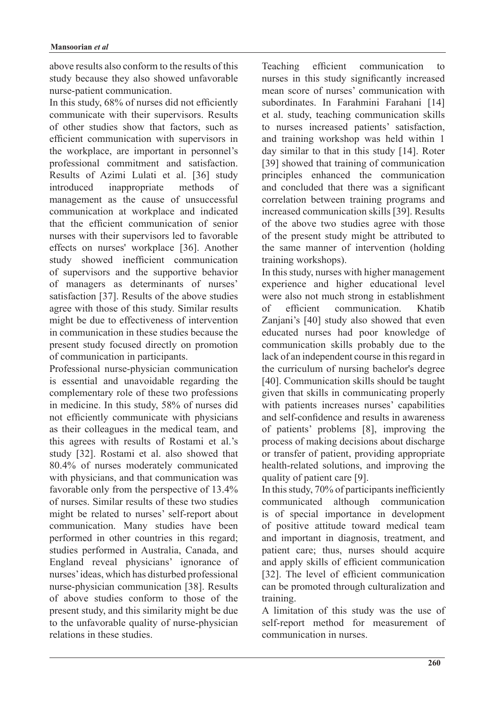above results also conform to the results of this study because they also showed unfavorable nurse-patient communication.

In this study,  $68\%$  of nurses did not efficiently communicate with their supervisors. Results of other studies show that factors, such as efficient communication with supervisors in the workplace, are important in personnel's professional commitment and satisfaction. Results of Azimi Lulati et al. [36] study introduced inappropriate methods of management as the cause of unsuccessful communication at workplace and indicated that the efficient communication of senior nurses with their supervisors led to favorable effects on nurses' workplace [36]. Another study showed inefficient communication of supervisors and the supportive behavior of managers as determinants of nurses' satisfaction  $[37]$ . Results of the above studies agree with those of this study. Similar results might be due to effectiveness of intervention in communication in these studies because the present study focused directly on promotion of communication in participants.

Professional nurse-physician communication is essential and unavoidable regarding the complementary role of these two professions in medicine. In this study, 58% of nurses did not efficiently communicate with physicians as their colleagues in the medical team, and this agrees with results of Rostami et al.'s study [32]. Rostami et al. also showed that 80.4% of nurses moderately communicated with physicians, and that communication was favorable only from the perspective of  $13.4\%$ of nurses. Similar results of these two studies might be related to nurses' self-report about communication. Many studies have been performed in other countries in this regard; studies performed in Australia, Canada, and England reveal physicians' ignorance of nurses' ideas, which has disturbed professional nurse-physician communication [38]. Results of above studies conform to those of the present study, and this similarity might be due to the unfavorable quality of nurse-physician relations in these studies.

Teaching efficient communication to nurses in this study significantly increased mean score of nurses' communication with subordinates. In Farahmini Farahani [14] et al. study, teaching communication skills to nurses increased patients' satisfaction, and training workshop was held within 1 day similar to that in this study  $[14]$ . Roter [39] showed that training of communication principles enhanced the communication and concluded that there was a significant correlation between training programs and increased communication skills [39]. Results of the above two studies agree with those of the present study might be attributed to the same manner of intervention (holding training workshops).

In this study, nurses with higher management experience and higher educational level were also not much strong in establishment of efficient communication. Khatib Zanjani's [40] study also showed that even educated nurses had poor knowledge of communication skills probably due to the lack of an independent course in this regard in the curriculum of nursing bachelor's degree  $[40]$ . Communication skills should be taught given that skills in communicating properly with patients increases nurses' capabilities and self-confidence and results in awareness of patients' problems  $[8]$ , improving the process of making decisions about discharge or transfer of patient, providing appropriate health-related solutions, and improving the quality of patient care [9].

In this study,  $70\%$  of participants inefficiently communicated although communication is of special importance in development of positive attitude toward medical team and important in diagnosis, treatment, and patient care; thus, nurses should acquire and apply skills of efficient communication [32]. The level of efficient communication can be promoted through culturalization and training.

A limitation of this study was the use of self-report method for measurement of communication in nurses.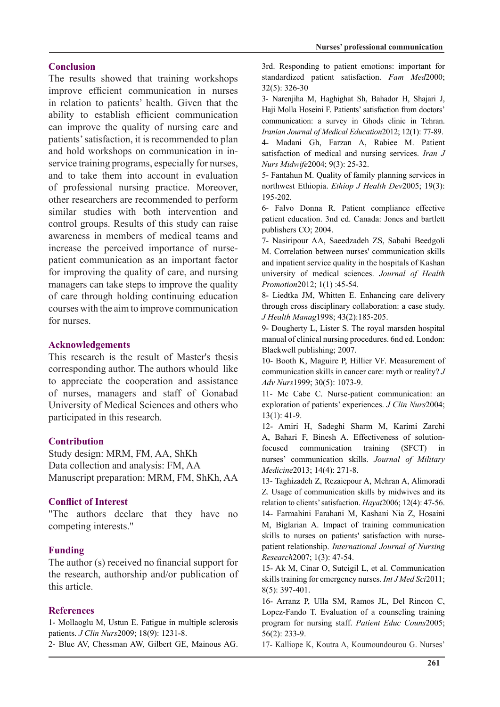## **Conclusion**

The results showed that training workshops improve efficient communication in nurses in relation to patients' health. Given that the ability to establish efficient communication can improve the quality of nursing care and patients' satisfaction, it is recommended to plan service training programs, especially for nurses, and hold workshops on communication in inand to take them into account in evaluation of professional nursing practice. Moreover, other researchers are recommended to perform similar studies with both intervention and control groups. Results of this study can raise awareness in members of medical teams and patient communication as an important factor increase the perceived importance of nursefor improving the quality of care, and nursing managers can take steps to improve the quality of care through holding continuing education courses with the aim to improve communication for nurses

## **Acknowledgements**

This research is the result of Master's thesis corresponding author. The authors whould like to appreciate the cooperation and assistance of nurses, managers and staff of Gonabad University of Medical Sciences and others who participated in this research.

## **Contribution**

Study design: MRM, FM, AA, ShKh Data collection and analysis: FM, AA Manuscript preparation: MRM, FM, ShKh, AA

## **Conflict of Interest**

"The authors declare that they have no competing interests."

## **Funding**

The author  $(s)$  received no financial support for the research, authorship and/or publication of this article.

## **References**

1- Mollaoglu M, Ustun E. Fatigue in multiple sclerosis patients. *J Clin Nurs* 2009; 18(9): 1231-8.

2- Blue AV, Chessman AW, Gilbert GE, Mainous AG.

3rd. Responding to patient emotions: important for standardized patient satisfaction. Fam Med2000;  $32(5):$  326-30

3- Narenjiha M, Haghighat Sh, Bahador H, Shajari J, Haji Molla Hoseini F. Patients' satisfaction from doctors' communication: a survey in Ghods clinic in Tehran. Iranian Journal of Medical Education 2012; 12(1): 77-89.

4- Madani Gh, Farzan A, Rabiee M. Patient satisfaction of medical and nursing services. *Iran J* Nurs Midwife 2004; 9(3): 25-32.

5- Fantahun M. Quality of family planning services in northwest Ethiopia. *Ethiop J Health Dev*2005; 19(3): 195-202.

6- Falvo Donna R. Patient compliance effective patient education. 3nd ed. Canada: Jones and bartlett publishers CO; 2004.

7- Nasiripour AA, Saeedzadeh ZS, Sabahi Beedgoli M. Correlation between nurses' communication skills and inpatient service quality in the hospitals of Kashan university of medical sciences. Journal of Health Promotion2012; 1(1):45-54.

8- Liedtka JM, Whitten E. Enhancing care delivery through cross disciplinary collaboration: a case study. J Health Manag 1998; 43(2): 185-205.

9- Dougherty L, Lister S. The royal marsden hospital manual of clinical nursing procedures. 6nd ed. London: Blackwell publishing; 2007.

10- Booth K, Maguire P, Hillier VF. Measurement of communication skills in cancer care: myth or reality? J Adv Nurs 1999; 30(5): 1073-9.

11- Mc Cabe C. Nurse-patient communication: an exploration of patients' experiences. J Clin Nurs 2004;  $13(1): 41-9.$ 

12- Amiri H, Sadeghi Sharm M, Karimi Zarchi A, Bahari F, Binesh A. Effectiveness of solution-<br>focused communication training (SFCT) in nurses' communication skills. *Journal of Military* Medicine2013; 14(4): 271-8.

13- Taghizadeh Z, Rezaiepour A, Mehran A, Alimoradi Z. Usage of communication skills by midwives and its relation to clients' satisfaction. Hayat2006; 12(4): 47-56. 14- Farmahini Farahani M, Kashani Nia Z, Hosaini M, Biglarian A. Impact of training communication patient relationship. *International Journal of Nursing* skills to nurses on patients' satisfaction with nurse-Research2007; 1(3): 47-54.

15- Ak M, Cinar O, Sutcigil L, et al. Communication skills training for emergency nurses. *Int J Med Sci* 2011;  $8(5):$  397-401.

16- Arranz P, Ulla SM, Ramos JL, Del Rincon C, Lopez-Fando T. Evaluation of a counseling training program for nursing staff. Patient Educ Couns2005;  $56(2)$ : 233-9.

17- Kalliope K, Koutra A, Koumoundourou G. Nurses'